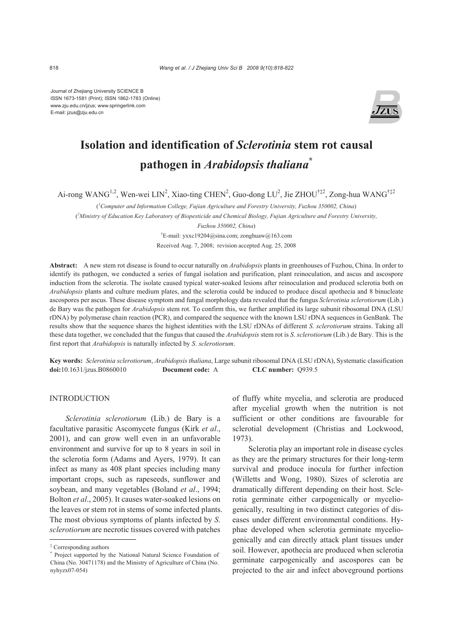Journal of Zhejiang University SCIENCE B ISSN 1673-1581 (Print); ISSN 1862-1783 (Online) www.zju.edu.cn/jzus; www.springerlink.com E-mail: jzus@zju.edu.cn



# **Isolation and identification of** *Sclerotinia* **stem rot causal pathogen in** *Arabidopsis thaliana***\***

Ai-rong WANG<sup>1,2</sup>, Wen-wei LIN<sup>2</sup>, Xiao-ting CHEN<sup>2</sup>, Guo-dong LU<sup>2</sup>, Jie ZHOU<sup>†‡2</sup>, Zong-hua WANG<sup>†‡2</sup>

( *1 Computer and Information College, Fujian Agriculture and Forestry University, Fuzhou 350002, China*)

( *2 Ministry of Education Key Laboratory of Biopesticide and Chemical Biology, Fujian Agriculture and Forestry University,* 

*Fuzhou 350002, China*)

† E-mail: yxxc19204@sina.com; zonghuaw@163.com

Received Aug. 7, 2008; revision accepted Aug. 25, 2008

**Abstract:** A new stem rot disease is found to occur naturally on *Arabidopsis* plants in greenhouses of Fuzhou, China. In order to identify its pathogen, we conducted a series of fungal isolation and purification, plant reinoculation, and ascus and ascospore induction from the sclerotia. The isolate caused typical water-soaked lesions after reinoculation and produced sclerotia both on *Arabidopsis* plants and culture medium plates, and the sclerotia could be induced to produce discal apothecia and 8 binucleate ascospores per ascus. These disease symptom and fungal morphology data revealed that the fungus *Sclerotinia sclerotiorum* (Lib.) de Bary was the pathogen for *Arabidopsis* stem rot. To confirm this, we further amplified its large subunit ribosomal DNA (LSU rDNA) by polymerase chain reaction (PCR), and compared the sequence with the known LSU rDNA sequences in GenBank. The results show that the sequence shares the highest identities with the LSU rDNAs of different *S*. *sclerotiorum* strains. Taking all these data together, we concluded that the fungus that caused the *Arabidopsis* stem rot is *S*. *sclerotiorum* (Lib.) de Bary. This is the first report that *Arabidopsis* is naturally infected by *S*. *sclerotiorum*.

**Key words:** *Sclerotinia sclerotiorum*, *Arabidopsis thaliana*, Large subunit ribosomal DNA (LSU rDNA), Systematic classification **doi:**10.1631/jzus.B0860010 **Document code:** A **CLC number:** Q939.5

# **INTRODUCTION**

*Sclerotinia sclerotiorum* (Lib.) de Bary is a facultative parasitic Ascomycete fungus (Kirk *et al*., 2001), and can grow well even in an unfavorable environment and survive for up to 8 years in soil in the sclerotia form (Adams and Ayers, 1979). It can infect as many as 408 plant species including many important crops, such as rapeseeds, sunflower and soybean, and many vegetables (Boland *et al*., 1994; Bolton *et al*., 2005). It causes water-soaked lesions on the leaves or stem rot in stems of some infected plants. The most obvious symptoms of plants infected by *S*. *sclerotiorum* are necrotic tissues covered with patches

of fluffy white mycelia, and sclerotia are produced after mycelial growth when the nutrition is not sufficient or other conditions are favourable for sclerotial development (Christias and Lockwood, 1973).

Sclerotia play an important role in disease cycles as they are the primary structures for their long-term survival and produce inocula for further infection (Willetts and Wong, 1980). Sizes of sclerotia are dramatically different depending on their host. Sclerotia germinate either carpogenically or myceliogenically, resulting in two distinct categories of diseases under different environmental conditions. Hyphae developed when sclerotia germinate myceliogenically and can directly attack plant tissues under soil. However, apothecia are produced when sclerotia germinate carpogenically and ascospores can be projected to the air and infect aboveground portions

<sup>‡</sup> Corresponding authors

<sup>\*</sup> Project supported by the National Natural Science Foundation of China (No. 30471178) and the Ministry of Agriculture of China (No. nyhyzx07-054)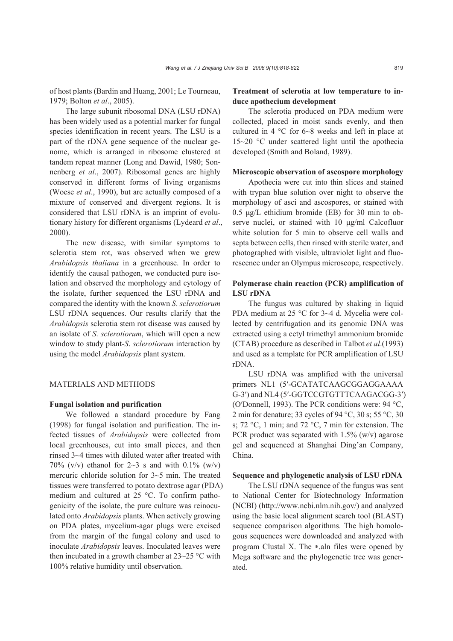of host plants (Bardin and Huang, 2001; Le Tourneau, 1979; Bolton *et al*., 2005).

The large subunit ribosomal DNA (LSU rDNA) has been widely used as a potential marker for fungal species identification in recent years. The LSU is a part of the rDNA gene sequence of the nuclear genome, which is arranged in ribosome clustered at tandem repeat manner (Long and Dawid, 1980; Sonnenberg *et al*., 2007). Ribosomal genes are highly conserved in different forms of living organisms (Woese *et al*., 1990), but are actually composed of a mixture of conserved and divergent regions. It is considered that LSU rDNA is an imprint of evolutionary history for different organisms (Lydeard *et al*., 2000).

The new disease, with similar symptoms to sclerotia stem rot, was observed when we grew *Arabidopsis thaliana* in a greenhouse. In order to identify the causal pathogen, we conducted pure isolation and observed the morphology and cytology of the isolate, further sequenced the LSU rDNA and compared the identity with the known *S*. *sclerotiorum* LSU rDNA sequences. Our results clarify that the *Arabidopsis* sclerotia stem rot disease was caused by an isolate of *S*. *sclerotiorum*, which will open a new window to study plant-*S*. *sclerotiorum* interaction by using the model *Arabidopsis* plant system.

#### MATERIALS AND METHODS

## **Fungal isolation and purification**

We followed a standard procedure by Fang (1998) for fungal isolation and purification. The infected tissues of *Arabidopsis* were collected from local greenhouses, cut into small pieces, and then rinsed 3~4 times with diluted water after treated with 70% (v/v) ethanol for  $2~3$  s and with 0.1% (w/v) mercuric chloride solution for 3~5 min. The treated tissues were transferred to potato dextrose agar (PDA) medium and cultured at 25 °C. To confirm pathogenicity of the isolate, the pure culture was reinoculated onto *Arabidopsis* plants. When actively growing on PDA plates, mycelium-agar plugs were excised from the margin of the fungal colony and used to inoculate *Arabidopsis* leaves. Inoculated leaves were then incubated in a growth chamber at  $23-25$  °C with 100% relative humidity until observation.

# **Treatment of sclerotia at low temperature to induce apothecium development**

The sclerotia produced on PDA medium were collected, placed in moist sands evenly, and then cultured in 4 °C for 6~8 weeks and left in place at 15~20 °C under scattered light until the apothecia developed (Smith and Boland, 1989).

#### **Microscopic observation of ascospore morphology**

Apothecia were cut into thin slices and stained with trypan blue solution over night to observe the morphology of asci and ascospores, or stained with 0.5 μg/L ethidium bromide (EB) for 30 min to observe nuclei, or stained with 10 μg/ml Calcofluor white solution for 5 min to observe cell walls and septa between cells, then rinsed with sterile water, and photographed with visible, ultraviolet light and fluorescence under an Olympus microscope, respectively.

## **Polymerase chain reaction (PCR) amplification of LSU rDNA**

The fungus was cultured by shaking in liquid PDA medium at 25 °C for 3~4 d. Mycelia were collected by centrifugation and its genomic DNA was extracted using a cetyl trimethyl ammonium bromide (CTAB) procedure as described in Talbot *et al*.(1993) and used as a template for PCR amplification of LSU rDNA.

LSU rDNA was amplified with the universal primers NL1 (5′-GCATATCAAGCGGAGGAAAA G-3′) and NL4 (5′-GGTCCGTGTTTCAAGACGG-3′) (O′Donnell, 1993). The PCR conditions were: 94 °C, 2 min for denature; 33 cycles of 94 °C, 30 s; 55 °C, 30 s; 72 °C, 1 min; and 72 °C, 7 min for extension. The PCR product was separated with  $1.5\%$  (w/v) agarose gel and sequenced at Shanghai Ding'an Company, China.

#### **Sequence and phylogenetic analysis of LSU rDNA**

The LSU rDNA sequence of the fungus was sent to National Center for Biotechnology Information (NCBI) (http://www.ncbi.nlm.nih.gov/) and analyzed using the basic local alignment search tool (BLAST) sequence comparison algorithms. The high homologous sequences were downloaded and analyzed with program Clustal X. The ∗.aln files were opened by Mega software and the phylogenetic tree was generated.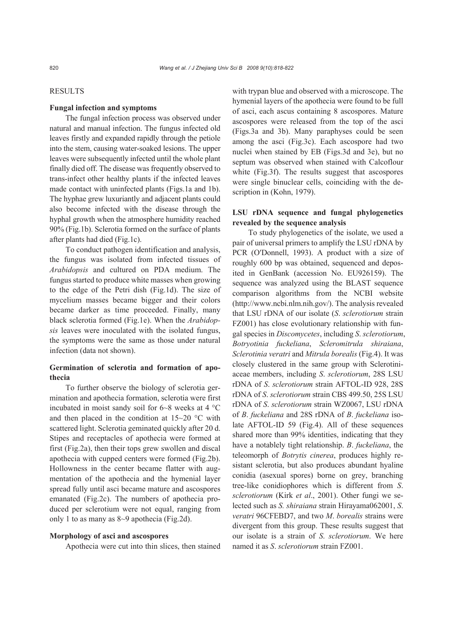## **RESULTS**

#### **Fungal infection and symptoms**

The fungal infection process was observed under natural and manual infection. The fungus infected old leaves firstly and expanded rapidly through the petiole into the stem, causing water-soaked lesions. The upper leaves were subsequently infected until the whole plant finally died off. The disease was frequently observed to trans-infect other healthy plants if the infected leaves made contact with uninfected plants (Figs.1a and 1b). The hyphae grew luxuriantly and adjacent plants could also become infected with the disease through the hyphal growth when the atmosphere humidity reached 90% (Fig.1b). Sclerotia formed on the surface of plants after plants had died (Fig.1c).

To conduct pathogen identification and analysis, the fungus was isolated from infected tissues of *Arabidopsis* and cultured on PDA medium. The fungus started to produce white masses when growing to the edge of the Petri dish (Fig.1d). The size of mycelium masses became bigger and their colors became darker as time proceeded. Finally, many black sclerotia formed (Fig.1e). When the *Arabidopsis* leaves were inoculated with the isolated fungus, the symptoms were the same as those under natural infection (data not shown).

## **Germination of sclerotia and formation of apothecia**

To further observe the biology of sclerotia germination and apothecia formation, sclerotia were first incubated in moist sandy soil for 6~8 weeks at 4 °C and then placed in the condition at  $15-20$  °C with scattered light. Sclerotia geminated quickly after 20 d. Stipes and receptacles of apothecia were formed at first (Fig.2a), then their tops grew swollen and discal apothecia with cupped centers were formed (Fig.2b). Hollowness in the center became flatter with augmentation of the apothecia and the hymenial layer spread fully until asci became mature and ascospores emanated (Fig.2c). The numbers of apothecia produced per sclerotium were not equal, ranging from only 1 to as many as 8~9 apothecia (Fig.2d).

#### **Morphology of asci and ascospores**

Apothecia were cut into thin slices, then stained

with trypan blue and observed with a microscope. The hymenial layers of the apothecia were found to be full of asci, each ascus containing 8 ascospores. Mature ascospores were released from the top of the asci (Figs.3a and 3b). Many paraphyses could be seen among the asci (Fig.3c). Each ascospore had two nuclei when stained by EB (Figs.3d and 3e), but no septum was observed when stained with Calcoflour white (Fig.3f). The results suggest that ascospores were single binuclear cells, coinciding with the description in (Kohn, 1979).

# **LSU rDNA sequence and fungal phylogenetics revealed by the sequence analysis**

To study phylogenetics of the isolate, we used a pair of universal primers to amplify the LSU rDNA by PCR (O′Donnell, 1993). A product with a size of roughly 600 bp was obtained, sequenced and deposited in GenBank (accession No. EU926159). The sequence was analyzed using the BLAST sequence comparison algorithms from the NCBI website (http://www.ncbi.nlm.nih.gov/). The analysis revealed that LSU rDNA of our isolate (*S*. *sclerotiorum* strain FZ001) has close evolutionary relationship with fungal species in *Discomycetes*, including *S*. *sclerotiorum*, *Botryotinia fuckeliana*, *Scleromitrula shiraiana*, *Sclerotinia veratri* and *Mitrula borealis* (Fig.4). It was closely clustered in the same group with Sclerotiniaceae members, including *S*. *sclerotiorum*, 28S LSU rDNA of *S*. *sclerotiorum* strain AFTOL-ID 928, 28S rDNA of *S*. *sclerotiorum* strain CBS 499.50, 25S LSU rDNA of *S*. *sclerotiorum* strain WZ0067, LSU rDNA of *B*. *fuckeliana* and 28S rDNA of *B*. *fuckeliana* isolate AFTOL-ID 59 (Fig.4). All of these sequences shared more than 99% identities, indicating that they have a notablely tight relationship. *B*. *fuckeliana*, the teleomorph of *Botrytis cinerea*, produces highly resistant sclerotia, but also produces abundant hyaline conidia (asexual spores) borne on grey, branching tree-like conidiophores which is different from *S*. *sclerotiorum* (Kirk *et al*., 2001). Other fungi we selected such as *S. shiraiana* strain Hirayama062001, *S*. *veratri* 96CFEBD7, and two *M*. *borealis* strains were divergent from this group. These results suggest that our isolate is a strain of *S*. *sclerotiorum*. We here named it as *S*. *sclerotiorum* strain FZ001.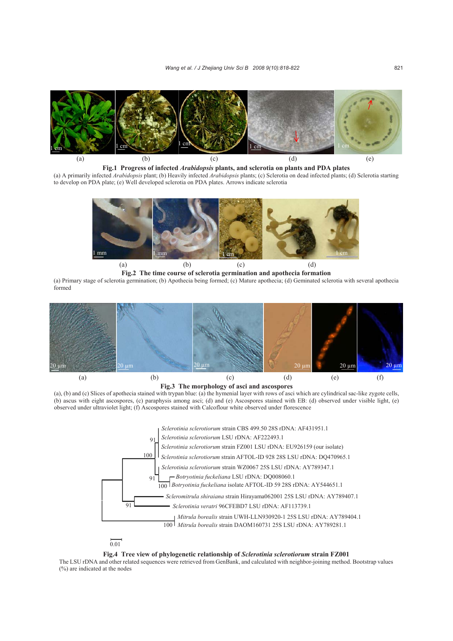

**Fig.1 Progress of infected** *Arabidopsis* **plants, and sclerotia on plants and PDA plates**  (a) A primarily infected *Arabidopsis* plant; (b) Heavily infected *Arabidopsis* plants; (c) Sclerotia on dead infected plants; (d) Sclerotia starting to develop on PDA plate; (e) Well developed sclerotia on PDA plates. Arrows indicate sclerotia



**Fig.2 The time course of sclerotia germination and apothecia formation** 

(a) Primary stage of sclerotia germination; (b) Apothecia being formed; (c) Mature apothecia; (d) Geminated sclerotia with several apothecia formed



**Fig.3 The morphology of asci and ascospores** 

(a), (b) and (c) Slices of apothecia stained with trypan blue: (a) the hymenial layer with rows of asci which are cylindrical sac-like zygote cells, (b) ascus with eight ascospores, (c) paraphysis among asci; (d) and (e) Ascospores stained with EB: (d) observed under visible light, (e) observed under ultraviolet light; (f) Ascospores stained with Calcoflour white observed under florescence





**Fig.4 Tree view of phylogenetic relationship of** *Sclerotinia sclerotiorum* **strain FZ001** 

The LSU rDNA and other related sequences were retrieved from GenBank, and calculated with neighbor-joining method. Bootstrap values (%) are indicated at the nodes